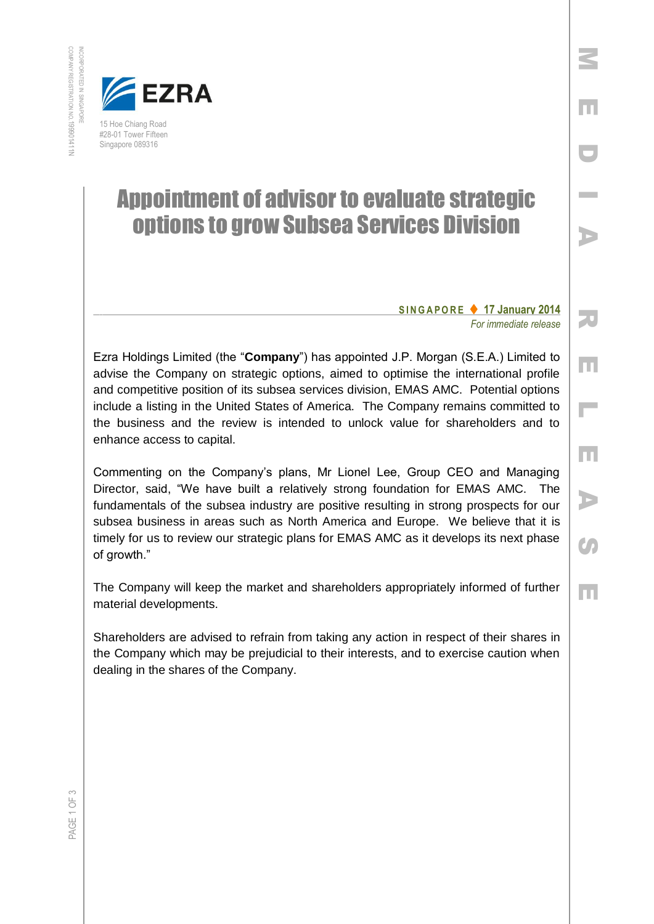

## Appointment of advisor to evaluate strategic options to grow Subsea Services Division

## **S I N G A P O R E 17 January 2014** *For immediate release*

Ezra Holdings Limited (the "**Company**") has appointed J.P. Morgan (S.E.A.) Limited to advise the Company on strategic options, aimed to optimise the international profile and competitive position of its subsea services division, EMAS AMC. Potential options include a listing in the United States of America. The Company remains committed to the business and the review is intended to unlock value for shareholders and to enhance access to capital.

Commenting on the Company's plans, Mr Lionel Lee, Group CEO and Managing Director, said, "We have built a relatively strong foundation for EMAS AMC. The fundamentals of the subsea industry are positive resulting in strong prospects for our subsea business in areas such as North America and Europe. We believe that it is timely for us to review our strategic plans for EMAS AMC as it develops its next phase of growth."

The Company will keep the market and shareholders appropriately informed of further material developments.

Shareholders are advised to refrain from taking any action in respect of their shares in the Company which may be prejudicial to their interests, and to exercise caution when dealing in the shares of the Company.

R E $\overline{\phantom{a}}$  E A**C** E

M

E

D

I

A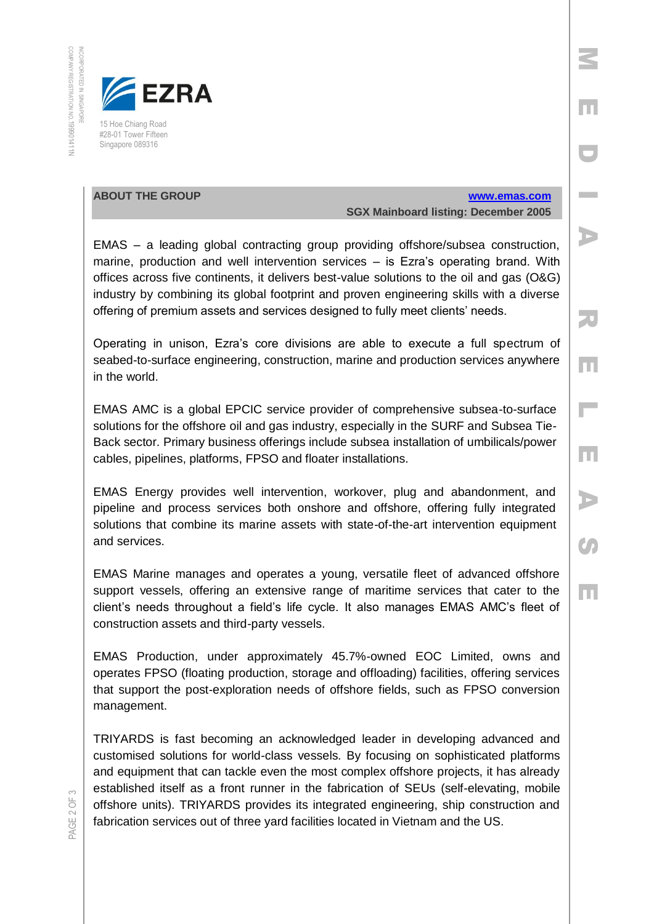

## **ABOUT THE GROUP [www.emas.com](http://www.emas.com/) SGX Mainboard listing: December 2005**

M

E

D

**In the Co** 

A

R

E

 $\overline{\phantom{a}}$ 

E

A

**CA** 

E

EMAS – a leading global contracting group providing offshore/subsea construction, marine, production and well intervention services – is Ezra's operating brand. With offices across five continents, it delivers best-value solutions to the oil and gas (O&G) industry by combining its global footprint and proven engineering skills with a diverse offering of premium assets and services designed to fully meet clients' needs.

Operating in unison, Ezra's core divisions are able to execute a full spectrum of seabed-to-surface engineering, construction, marine and production services anywhere in the world.

EMAS AMC is a global EPCIC service provider of comprehensive subsea-to-surface solutions for the offshore oil and gas industry, especially in the SURF and Subsea Tie-Back sector. Primary business offerings include subsea installation of umbilicals/power cables, pipelines, platforms, FPSO and floater installations.

EMAS Energy provides well intervention, workover, plug and abandonment, and pipeline and process services both onshore and offshore, offering fully integrated solutions that combine its marine assets with state-of-the-art intervention equipment and services.

EMAS Marine manages and operates a young, versatile fleet of advanced offshore support vessels, offering an extensive range of maritime services that cater to the client's needs throughout a field's life cycle. It also manages EMAS AMC's fleet of construction assets and third-party vessels.

EMAS Production, under approximately 45.7%-owned EOC Limited, owns and operates FPSO (floating production, storage and offloading) facilities, offering services that support the post-exploration needs of offshore fields, such as FPSO conversion management.

TRIYARDS is fast becoming an acknowledged leader in developing advanced and customised solutions for world-class vessels. By focusing on sophisticated platforms and equipment that can tackle even the most complex offshore projects, it has already established itself as a front runner in the fabrication of SEUs (self-elevating, mobile offshore units). TRIYARDS provides its integrated engineering, ship construction and fabrication services out of three yard facilities located in Vietnam and the US.